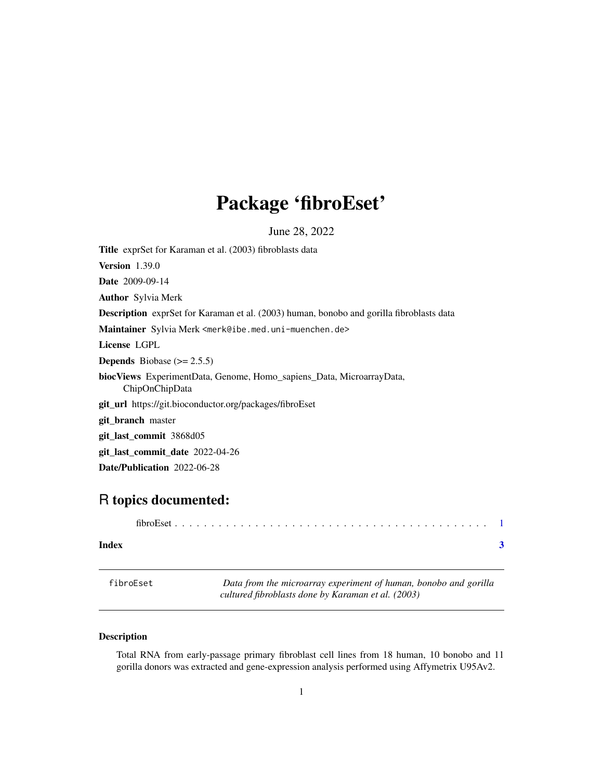## <span id="page-0-0"></span>Package 'fibroEset'

June 28, 2022

Title exprSet for Karaman et al. (2003) fibroblasts data Version 1.39.0 Date 2009-09-14 Author Sylvia Merk Description exprSet for Karaman et al. (2003) human, bonobo and gorilla fibroblasts data Maintainer Sylvia Merk <merk@ibe.med.uni-muenchen.de> License LGPL **Depends** Biobase  $(>= 2.5.5)$ biocViews ExperimentData, Genome, Homo\_sapiens\_Data, MicroarrayData, ChipOnChipData git\_url https://git.bioconductor.org/packages/fibroEset git\_branch master git\_last\_commit 3868d05 git\_last\_commit\_date 2022-04-26 Date/Publication 2022-06-28

### R topics documented:

| Index |  |
|-------|--|

fibroEset *Data from the microarray experiment of human, bonobo and gorilla cultured fibroblasts done by Karaman et al. (2003)*

#### Description

Total RNA from early-passage primary fibroblast cell lines from 18 human, 10 bonobo and 11 gorilla donors was extracted and gene-expression analysis performed using Affymetrix U95Av2.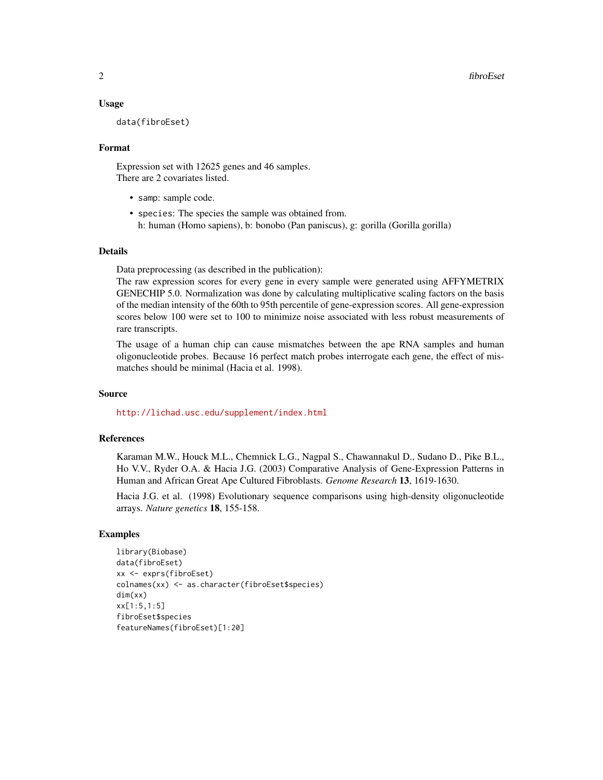#### Usage

data(fibroEset)

#### Format

Expression set with 12625 genes and 46 samples. There are 2 covariates listed.

- samp: sample code.
- species: The species the sample was obtained from. h: human (Homo sapiens), b: bonobo (Pan paniscus), g: gorilla (Gorilla gorilla)

#### Details

Data preprocessing (as described in the publication):

The raw expression scores for every gene in every sample were generated using AFFYMETRIX GENECHIP 5.0. Normalization was done by calculating multiplicative scaling factors on the basis of the median intensity of the 60th to 95th percentile of gene-expression scores. All gene-expression scores below 100 were set to 100 to minimize noise associated with less robust measurements of rare transcripts.

The usage of a human chip can cause mismatches between the ape RNA samples and human oligonucleotide probes. Because 16 perfect match probes interrogate each gene, the effect of mismatches should be minimal (Hacia et al. 1998).

#### Source

<http://lichad.usc.edu/supplement/index.html>

#### References

Karaman M.W., Houck M.L., Chemnick L.G., Nagpal S., Chawannakul D., Sudano D., Pike B.L., Ho V.V., Ryder O.A. & Hacia J.G. (2003) Comparative Analysis of Gene-Expression Patterns in Human and African Great Ape Cultured Fibroblasts. *Genome Research* 13, 1619-1630.

Hacia J.G. et al. (1998) Evolutionary sequence comparisons using high-density oligonucleotide arrays. *Nature genetics* 18, 155-158.

#### Examples

```
library(Biobase)
data(fibroEset)
xx <- exprs(fibroEset)
colnames(xx) <- as.character(fibroEset$species)
dim(xx)
xx[1:5,1:5]
fibroEset$species
featureNames(fibroEset)[1:20]
```